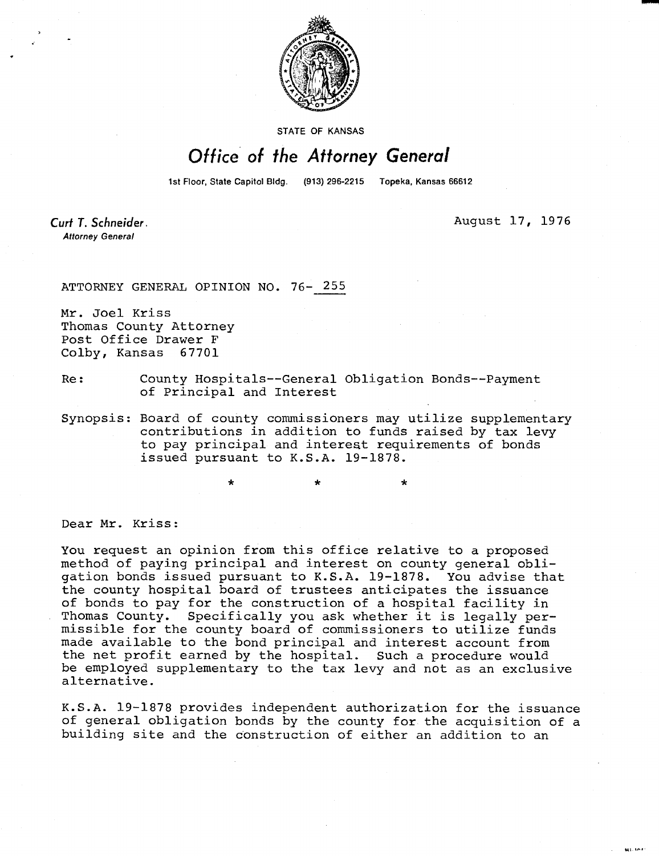

STATE OF KANSAS

## Office of the Attorney General

1st Floor, State Capitol Bldg. (913) 296-2215 Topeka, Kansas 66612

Curt T. Schneider. **Attorney General** 

August 17, 1976

**MALINE** 

ATTORNEY GENERAL OPINION NO. 76- 255

Mr. Joel Kriss Thomas County Attorney Post Office Drawer F Colby, Kansas 67701

- Re: County Hospitals--General Obligation Bonds--Payment of Principal and Interest
- Synopsis: Board of county commissioners may utilize supplementary contributions in addition to funds raised by tax levy to pay principal and interest requirements of bonds issued pursuant to K.S.A. 19-1878.

Dear Mr. Kriss:

You request an opinion from this office relative to a proposed method of paying principal and interest on county general obligation bonds issued pursuant to K.S.A. 19-1878. You advise that the county hospital board of trustees anticipates the issuance of bonds to pay for the construction of a hospital facility in Thomas County. Specifically you ask whether it is legally permissible for the county board of commissioners to utilize funds made available to the bond principal and interest account from the net profit earned by the hospital. Such a procedure would be employed supplementary to the tax levy and not as an exclusive alternative.

K.S.A. 19-1878 provides independent authorization for the issuance of general obligation bonds by the county for the acquisition of a building site and the construction of either an addition to an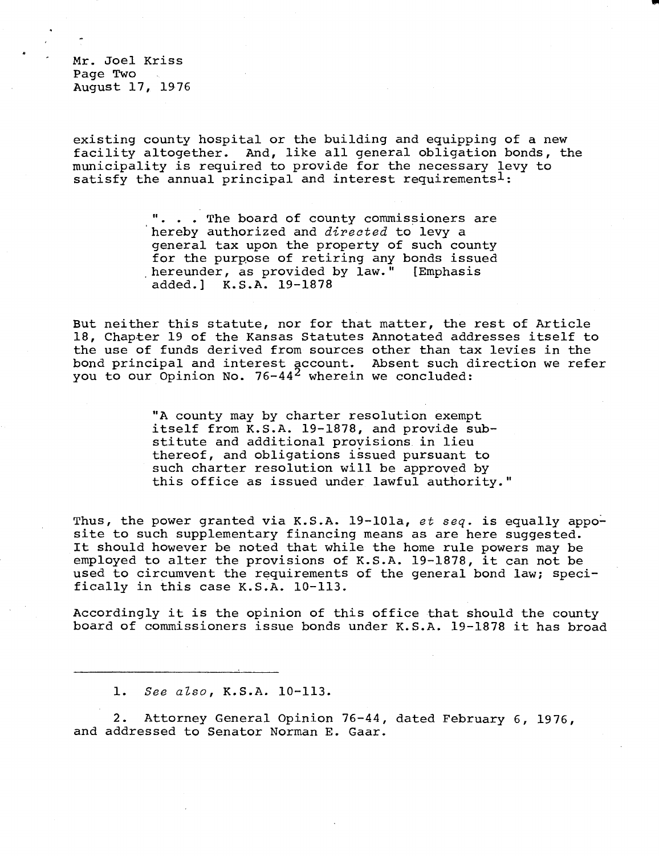Mr. Joel Kriss Page Two August 17, 1976

existing county hospital or the building and equipping of a new facility altogether. And, like all general obligation bonds, the municipality is required to provide for the necessary levy to satisfy the annual principal and interest requirements<sup>1</sup>:

> . . The board of county commissioners are hereby authorized and directed to levy a general tax upon the property of such county for the purpose of retiring any bonds issued hereunder, as provided by law." [Emphasis added.] K.S.A. 19-1878

But neither this statute, nor for that matter, the rest of Article 18, Chapter 19 of the Kansas Statutes Annotated addresses itself to the use of funds derived from sources other than tax levies in the bond principal and interest account. Absent such direction we refer you to our Opinion No.  $76-44^2$  wherein we concluded:

> "A county may by charter resolution exempt itself from K.S.A. 19-1878, and provide substitute and additional provisions in lieu thereof, and obligations issued pursuant to such charter resolution will be approved by this office as issued under lawful authority."

Thus, the power granted via K.S.A. 19-101a, et seq. is equally apposite to such supplementary financing means as are here suggested. It should however be noted that while the home rule powers may be employed to alter the provisions of K.S.A. 19-1878, it can not be used to circumvent the requirements of the general bond law; specifically in this case K.S.A. 10-113.

Accordingly it is the opinion of this office that should the county board of commissioners issue bonds under K.S.A. 19-1878 it has broad

1. See also, K.S.A. 10-113.

2. Attorney General Opinion 76-44, dated February 6, 1976, and addressed to Senator Norman E. Gaar.